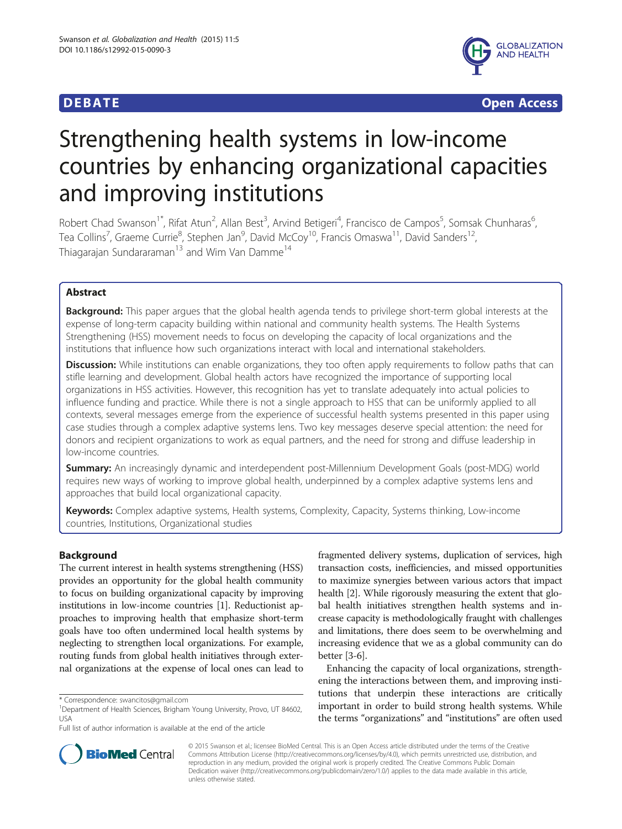

**DEBATE CONSIDERED ACCESS OPEN ACCESS** 

# Strengthening health systems in low-income countries by enhancing organizational capacities and improving institutions

Robert Chad Swanson<sup>1\*</sup>, Rifat Atun<sup>2</sup>, Allan Best<sup>3</sup>, Arvind Betigeri<sup>4</sup>, Francisco de Campos<sup>5</sup>, Somsak Chunharas<sup>6</sup> י<br>, Tea Collins<sup>7</sup>, Graeme Currie<sup>8</sup>, Stephen Jan<sup>9</sup>, David McCoy<sup>10</sup>, Francis Omaswa<sup>11</sup>, David Sanders<sup>12</sup>, Thiagarajan Sundararaman $13$  and Wim Van Damme<sup>14</sup>

# Abstract

Background: This paper argues that the global health agenda tends to privilege short-term global interests at the expense of long-term capacity building within national and community health systems. The Health Systems Strengthening (HSS) movement needs to focus on developing the capacity of local organizations and the institutions that influence how such organizations interact with local and international stakeholders.

**Discussion:** While institutions can enable organizations, they too often apply requirements to follow paths that can stifle learning and development. Global health actors have recognized the importance of supporting local organizations in HSS activities. However, this recognition has yet to translate adequately into actual policies to influence funding and practice. While there is not a single approach to HSS that can be uniformly applied to all contexts, several messages emerge from the experience of successful health systems presented in this paper using case studies through a complex adaptive systems lens. Two key messages deserve special attention: the need for donors and recipient organizations to work as equal partners, and the need for strong and diffuse leadership in low-income countries.

**Summary:** An increasingly dynamic and interdependent post-Millennium Development Goals (post-MDG) world requires new ways of working to improve global health, underpinned by a complex adaptive systems lens and approaches that build local organizational capacity.

Keywords: Complex adaptive systems, Health systems, Complexity, Capacity, Systems thinking, Low-income countries, Institutions, Organizational studies

# Background

The current interest in health systems strengthening (HSS) provides an opportunity for the global health community to focus on building organizational capacity by improving institutions in low-income countries [[1](#page-6-0)]. Reductionist approaches to improving health that emphasize short-term goals have too often undermined local health systems by neglecting to strengthen local organizations. For example, routing funds from global health initiatives through external organizations at the expense of local ones can lead to

fragmented delivery systems, duplication of services, high transaction costs, inefficiencies, and missed opportunities to maximize synergies between various actors that impact health [\[2\]](#page-6-0). While rigorously measuring the extent that global health initiatives strengthen health systems and increase capacity is methodologically fraught with challenges and limitations, there does seem to be overwhelming and increasing evidence that we as a global community can do better [[3](#page-6-0)-[6\]](#page-6-0).

Enhancing the capacity of local organizations, strengthening the interactions between them, and improving institutions that underpin these interactions are critically important in order to build strong health systems. While the terms "organizations" and "institutions" are often used



© 2015 Swanson et al.; licensee BioMed Central. This is an Open Access article distributed under the terms of the Creative Commons Attribution License [\(http://creativecommons.org/licenses/by/4.0\)](http://creativecommons.org/licenses/by/4.0), which permits unrestricted use, distribution, and reproduction in any medium, provided the original work is properly credited. The Creative Commons Public Domain Dedication waiver [\(http://creativecommons.org/publicdomain/zero/1.0/](http://creativecommons.org/publicdomain/zero/1.0/)) applies to the data made available in this article, unless otherwise stated.

<sup>\*</sup> Correspondence: [swancitos@gmail.com](mailto:swancitos@gmail.com) <sup>1</sup>

<sup>&</sup>lt;sup>1</sup>Department of Health Sciences, Brigham Young University, Provo, UT 84602, USA

Full list of author information is available at the end of the article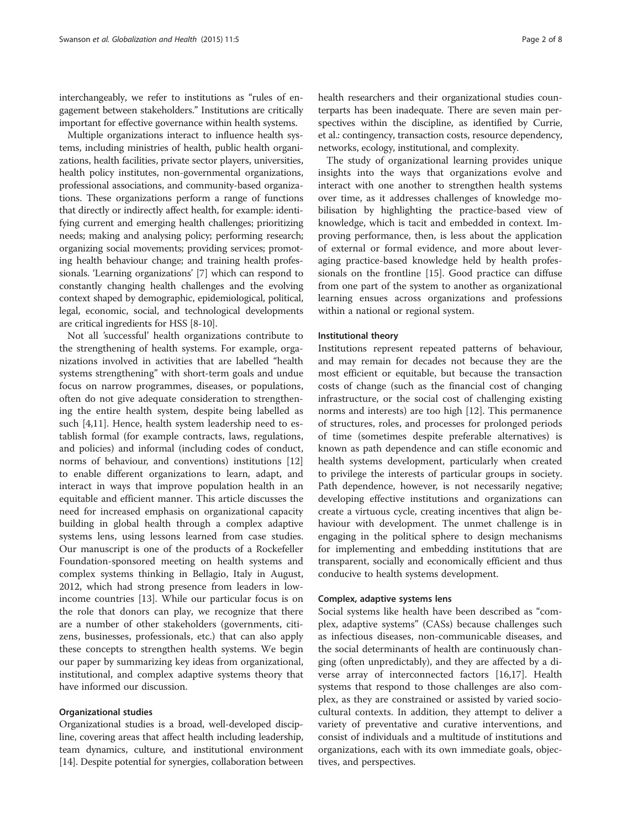interchangeably, we refer to institutions as "rules of engagement between stakeholders." Institutions are critically important for effective governance within health systems.

Multiple organizations interact to influence health systems, including ministries of health, public health organizations, health facilities, private sector players, universities, health policy institutes, non-governmental organizations, professional associations, and community-based organizations. These organizations perform a range of functions that directly or indirectly affect health, for example: identifying current and emerging health challenges; prioritizing needs; making and analysing policy; performing research; organizing social movements; providing services; promoting health behaviour change; and training health professionals. 'Learning organizations' [\[7](#page-6-0)] which can respond to constantly changing health challenges and the evolving context shaped by demographic, epidemiological, political, legal, economic, social, and technological developments are critical ingredients for HSS [\[8](#page-6-0)[-10](#page-7-0)].

Not all 'successful' health organizations contribute to the strengthening of health systems. For example, organizations involved in activities that are labelled "health systems strengthening" with short-term goals and undue focus on narrow programmes, diseases, or populations, often do not give adequate consideration to strengthening the entire health system, despite being labelled as such [\[4](#page-6-0)[,11\]](#page-7-0). Hence, health system leadership need to establish formal (for example contracts, laws, regulations, and policies) and informal (including codes of conduct, norms of behaviour, and conventions) institutions [[12](#page-7-0)] to enable different organizations to learn, adapt, and interact in ways that improve population health in an equitable and efficient manner. This article discusses the need for increased emphasis on organizational capacity building in global health through a complex adaptive systems lens, using lessons learned from case studies. Our manuscript is one of the products of a Rockefeller Foundation-sponsored meeting on health systems and complex systems thinking in Bellagio, Italy in August, 2012, which had strong presence from leaders in lowincome countries [[13](#page-7-0)]. While our particular focus is on the role that donors can play, we recognize that there are a number of other stakeholders (governments, citizens, businesses, professionals, etc.) that can also apply these concepts to strengthen health systems. We begin our paper by summarizing key ideas from organizational, institutional, and complex adaptive systems theory that have informed our discussion.

### Organizational studies

Organizational studies is a broad, well-developed discipline, covering areas that affect health including leadership, team dynamics, culture, and institutional environment [[14](#page-7-0)]. Despite potential for synergies, collaboration between health researchers and their organizational studies counterparts has been inadequate. There are seven main perspectives within the discipline, as identified by Currie, et al.: contingency, transaction costs, resource dependency, networks, ecology, institutional, and complexity.

The study of organizational learning provides unique insights into the ways that organizations evolve and interact with one another to strengthen health systems over time, as it addresses challenges of knowledge mobilisation by highlighting the practice-based view of knowledge, which is tacit and embedded in context. Improving performance, then, is less about the application of external or formal evidence, and more about leveraging practice-based knowledge held by health professionals on the frontline [[15](#page-7-0)]. Good practice can diffuse from one part of the system to another as organizational learning ensues across organizations and professions within a national or regional system.

#### Institutional theory

Institutions represent repeated patterns of behaviour, and may remain for decades not because they are the most efficient or equitable, but because the transaction costs of change (such as the financial cost of changing infrastructure, or the social cost of challenging existing norms and interests) are too high [\[12](#page-7-0)]. This permanence of structures, roles, and processes for prolonged periods of time (sometimes despite preferable alternatives) is known as path dependence and can stifle economic and health systems development, particularly when created to privilege the interests of particular groups in society. Path dependence, however, is not necessarily negative; developing effective institutions and organizations can create a virtuous cycle, creating incentives that align behaviour with development. The unmet challenge is in engaging in the political sphere to design mechanisms for implementing and embedding institutions that are transparent, socially and economically efficient and thus conducive to health systems development.

# Complex, adaptive systems lens

Social systems like health have been described as "complex, adaptive systems" (CASs) because challenges such as infectious diseases, non-communicable diseases, and the social determinants of health are continuously changing (often unpredictably), and they are affected by a diverse array of interconnected factors [[16,17](#page-7-0)]. Health systems that respond to those challenges are also complex, as they are constrained or assisted by varied sociocultural contexts. In addition, they attempt to deliver a variety of preventative and curative interventions, and consist of individuals and a multitude of institutions and organizations, each with its own immediate goals, objectives, and perspectives.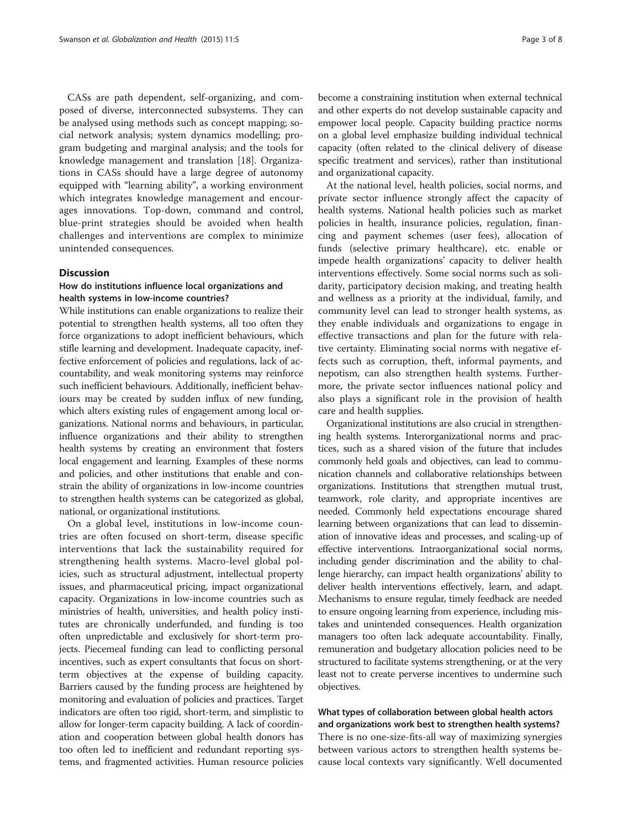CASs are path dependent, self-organizing, and composed of diverse, interconnected subsystems. They can be analysed using methods such as concept mapping; social network analysis; system dynamics modelling; program budgeting and marginal analysis; and the tools for knowledge management and translation [[18](#page-7-0)]. Organizations in CASs should have a large degree of autonomy equipped with "learning ability", a working environment which integrates knowledge management and encourages innovations. Top-down, command and control, blue-print strategies should be avoided when health challenges and interventions are complex to minimize unintended consequences.

### **Discussion**

# How do institutions influence local organizations and health systems in low-income countries?

While institutions can enable organizations to realize their potential to strengthen health systems, all too often they force organizations to adopt inefficient behaviours, which stifle learning and development. Inadequate capacity, ineffective enforcement of policies and regulations, lack of accountability, and weak monitoring systems may reinforce such inefficient behaviours. Additionally, inefficient behaviours may be created by sudden influx of new funding, which alters existing rules of engagement among local organizations. National norms and behaviours, in particular, influence organizations and their ability to strengthen health systems by creating an environment that fosters local engagement and learning. Examples of these norms and policies, and other institutions that enable and constrain the ability of organizations in low-income countries to strengthen health systems can be categorized as global, national, or organizational institutions.

On a global level, institutions in low-income countries are often focused on short-term, disease specific interventions that lack the sustainability required for strengthening health systems. Macro-level global policies, such as structural adjustment, intellectual property issues, and pharmaceutical pricing, impact organizational capacity. Organizations in low-income countries such as ministries of health, universities, and health policy institutes are chronically underfunded, and funding is too often unpredictable and exclusively for short-term projects. Piecemeal funding can lead to conflicting personal incentives, such as expert consultants that focus on shortterm objectives at the expense of building capacity. Barriers caused by the funding process are heightened by monitoring and evaluation of policies and practices. Target indicators are often too rigid, short-term, and simplistic to allow for longer-term capacity building. A lack of coordination and cooperation between global health donors has too often led to inefficient and redundant reporting systems, and fragmented activities. Human resource policies

become a constraining institution when external technical and other experts do not develop sustainable capacity and empower local people. Capacity building practice norms on a global level emphasize building individual technical capacity (often related to the clinical delivery of disease specific treatment and services), rather than institutional and organizational capacity.

At the national level, health policies, social norms, and private sector influence strongly affect the capacity of health systems. National health policies such as market policies in health, insurance policies, regulation, financing and payment schemes (user fees), allocation of funds (selective primary healthcare), etc. enable or impede health organizations' capacity to deliver health interventions effectively. Some social norms such as solidarity, participatory decision making, and treating health and wellness as a priority at the individual, family, and community level can lead to stronger health systems, as they enable individuals and organizations to engage in effective transactions and plan for the future with relative certainty. Eliminating social norms with negative effects such as corruption, theft, informal payments, and nepotism, can also strengthen health systems. Furthermore, the private sector influences national policy and also plays a significant role in the provision of health care and health supplies.

Organizational institutions are also crucial in strengthening health systems. Interorganizational norms and practices, such as a shared vision of the future that includes commonly held goals and objectives, can lead to communication channels and collaborative relationships between organizations. Institutions that strengthen mutual trust, teamwork, role clarity, and appropriate incentives are needed. Commonly held expectations encourage shared learning between organizations that can lead to dissemination of innovative ideas and processes, and scaling-up of effective interventions. Intraorganizational social norms, including gender discrimination and the ability to challenge hierarchy, can impact health organizations' ability to deliver health interventions effectively, learn, and adapt. Mechanisms to ensure regular, timely feedback are needed to ensure ongoing learning from experience, including mistakes and unintended consequences. Health organization managers too often lack adequate accountability. Finally, remuneration and budgetary allocation policies need to be structured to facilitate systems strengthening, or at the very least not to create perverse incentives to undermine such objectives.

What types of collaboration between global health actors and organizations work best to strengthen health systems? There is no one-size-fits-all way of maximizing synergies between various actors to strengthen health systems because local contexts vary significantly. Well documented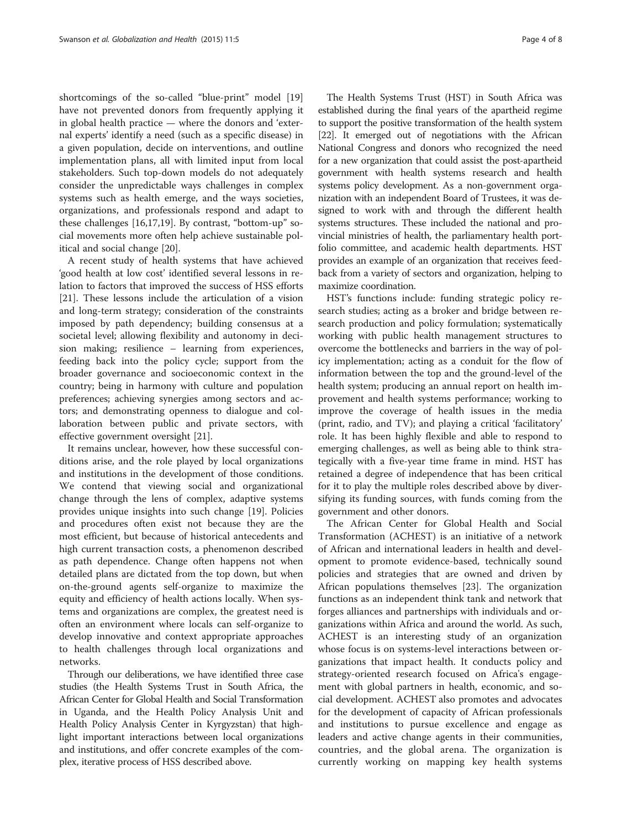shortcomings of the so-called "blue-print" model [[19](#page-7-0)] have not prevented donors from frequently applying it in global health practice — where the donors and 'external experts' identify a need (such as a specific disease) in a given population, decide on interventions, and outline implementation plans, all with limited input from local stakeholders. Such top-down models do not adequately consider the unpredictable ways challenges in complex systems such as health emerge, and the ways societies, organizations, and professionals respond and adapt to these challenges [\[16,17,19](#page-7-0)]. By contrast, "bottom-up" social movements more often help achieve sustainable political and social change [[20\]](#page-7-0).

A recent study of health systems that have achieved 'good health at low cost' identified several lessons in relation to factors that improved the success of HSS efforts [[21\]](#page-7-0). These lessons include the articulation of a vision and long-term strategy; consideration of the constraints imposed by path dependency; building consensus at a societal level; allowing flexibility and autonomy in decision making; resilience – learning from experiences, feeding back into the policy cycle; support from the broader governance and socioeconomic context in the country; being in harmony with culture and population preferences; achieving synergies among sectors and actors; and demonstrating openness to dialogue and collaboration between public and private sectors, with effective government oversight [[21](#page-7-0)].

It remains unclear, however, how these successful conditions arise, and the role played by local organizations and institutions in the development of those conditions. We contend that viewing social and organizational change through the lens of complex, adaptive systems provides unique insights into such change [[19\]](#page-7-0). Policies and procedures often exist not because they are the most efficient, but because of historical antecedents and high current transaction costs, a phenomenon described as path dependence. Change often happens not when detailed plans are dictated from the top down, but when on-the-ground agents self-organize to maximize the equity and efficiency of health actions locally. When systems and organizations are complex, the greatest need is often an environment where locals can self-organize to develop innovative and context appropriate approaches to health challenges through local organizations and networks.

Through our deliberations, we have identified three case studies (the Health Systems Trust in South Africa, the African Center for Global Health and Social Transformation in Uganda, and the Health Policy Analysis Unit and Health Policy Analysis Center in Kyrgyzstan) that highlight important interactions between local organizations and institutions, and offer concrete examples of the complex, iterative process of HSS described above.

The Health Systems Trust (HST) in South Africa was established during the final years of the apartheid regime to support the positive transformation of the health system [[22](#page-7-0)]. It emerged out of negotiations with the African National Congress and donors who recognized the need for a new organization that could assist the post-apartheid government with health systems research and health systems policy development. As a non-government organization with an independent Board of Trustees, it was designed to work with and through the different health systems structures. These included the national and provincial ministries of health, the parliamentary health portfolio committee, and academic health departments. HST provides an example of an organization that receives feedback from a variety of sectors and organization, helping to maximize coordination.

HST's functions include: funding strategic policy research studies; acting as a broker and bridge between research production and policy formulation; systematically working with public health management structures to overcome the bottlenecks and barriers in the way of policy implementation; acting as a conduit for the flow of information between the top and the ground-level of the health system; producing an annual report on health improvement and health systems performance; working to improve the coverage of health issues in the media (print, radio, and TV); and playing a critical 'facilitatory' role. It has been highly flexible and able to respond to emerging challenges, as well as being able to think strategically with a five-year time frame in mind. HST has retained a degree of independence that has been critical for it to play the multiple roles described above by diversifying its funding sources, with funds coming from the government and other donors.

The African Center for Global Health and Social Transformation (ACHEST) is an initiative of a network of African and international leaders in health and development to promote evidence-based, technically sound policies and strategies that are owned and driven by African populations themselves [[23\]](#page-7-0). The organization functions as an independent think tank and network that forges alliances and partnerships with individuals and organizations within Africa and around the world. As such, ACHEST is an interesting study of an organization whose focus is on systems-level interactions between organizations that impact health. It conducts policy and strategy-oriented research focused on Africa's engagement with global partners in health, economic, and social development. ACHEST also promotes and advocates for the development of capacity of African professionals and institutions to pursue excellence and engage as leaders and active change agents in their communities, countries, and the global arena. The organization is currently working on mapping key health systems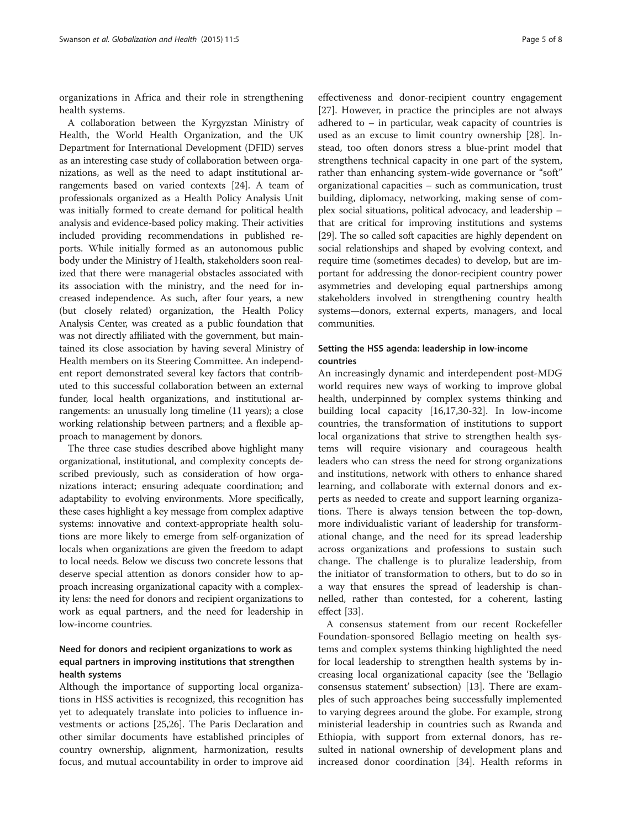organizations in Africa and their role in strengthening health systems.

A collaboration between the Kyrgyzstan Ministry of Health, the World Health Organization, and the UK Department for International Development (DFID) serves as an interesting case study of collaboration between organizations, as well as the need to adapt institutional arrangements based on varied contexts [[24](#page-7-0)]. A team of professionals organized as a Health Policy Analysis Unit was initially formed to create demand for political health analysis and evidence-based policy making. Their activities included providing recommendations in published reports. While initially formed as an autonomous public body under the Ministry of Health, stakeholders soon realized that there were managerial obstacles associated with its association with the ministry, and the need for increased independence. As such, after four years, a new (but closely related) organization, the Health Policy Analysis Center, was created as a public foundation that was not directly affiliated with the government, but maintained its close association by having several Ministry of Health members on its Steering Committee. An independent report demonstrated several key factors that contributed to this successful collaboration between an external funder, local health organizations, and institutional arrangements: an unusually long timeline (11 years); a close working relationship between partners; and a flexible approach to management by donors.

The three case studies described above highlight many organizational, institutional, and complexity concepts described previously, such as consideration of how organizations interact; ensuring adequate coordination; and adaptability to evolving environments. More specifically, these cases highlight a key message from complex adaptive systems: innovative and context-appropriate health solutions are more likely to emerge from self-organization of locals when organizations are given the freedom to adapt to local needs. Below we discuss two concrete lessons that deserve special attention as donors consider how to approach increasing organizational capacity with a complexity lens: the need for donors and recipient organizations to work as equal partners, and the need for leadership in low-income countries.

# Need for donors and recipient organizations to work as equal partners in improving institutions that strengthen health systems

Although the importance of supporting local organizations in HSS activities is recognized, this recognition has yet to adequately translate into policies to influence investments or actions [[25,26\]](#page-7-0). The Paris Declaration and other similar documents have established principles of country ownership, alignment, harmonization, results focus, and mutual accountability in order to improve aid

effectiveness and donor-recipient country engagement [[27\]](#page-7-0). However, in practice the principles are not always adhered to – in particular, weak capacity of countries is used as an excuse to limit country ownership [[28\]](#page-7-0). Instead, too often donors stress a blue-print model that strengthens technical capacity in one part of the system, rather than enhancing system-wide governance or "soft" organizational capacities – such as communication, trust building, diplomacy, networking, making sense of complex social situations, political advocacy, and leadership – that are critical for improving institutions and systems [[29](#page-7-0)]. The so called soft capacities are highly dependent on social relationships and shaped by evolving context, and require time (sometimes decades) to develop, but are important for addressing the donor-recipient country power asymmetries and developing equal partnerships among stakeholders involved in strengthening country health systems—donors, external experts, managers, and local communities.

# Setting the HSS agenda: leadership in low-income countries

An increasingly dynamic and interdependent post-MDG world requires new ways of working to improve global health, underpinned by complex systems thinking and building local capacity [[16,17,30-32\]](#page-7-0). In low-income countries, the transformation of institutions to support local organizations that strive to strengthen health systems will require visionary and courageous health leaders who can stress the need for strong organizations and institutions, network with others to enhance shared learning, and collaborate with external donors and experts as needed to create and support learning organizations. There is always tension between the top-down, more individualistic variant of leadership for transformational change, and the need for its spread leadership across organizations and professions to sustain such change. The challenge is to pluralize leadership, from the initiator of transformation to others, but to do so in a way that ensures the spread of leadership is channelled, rather than contested, for a coherent, lasting effect [\[33\]](#page-7-0).

A consensus statement from our recent Rockefeller Foundation-sponsored Bellagio meeting on health systems and complex systems thinking highlighted the need for local leadership to strengthen health systems by increasing local organizational capacity (see the 'Bellagio consensus statement' subsection) [\[13](#page-7-0)]. There are examples of such approaches being successfully implemented to varying degrees around the globe. For example, strong ministerial leadership in countries such as Rwanda and Ethiopia, with support from external donors, has resulted in national ownership of development plans and increased donor coordination [[34](#page-7-0)]. Health reforms in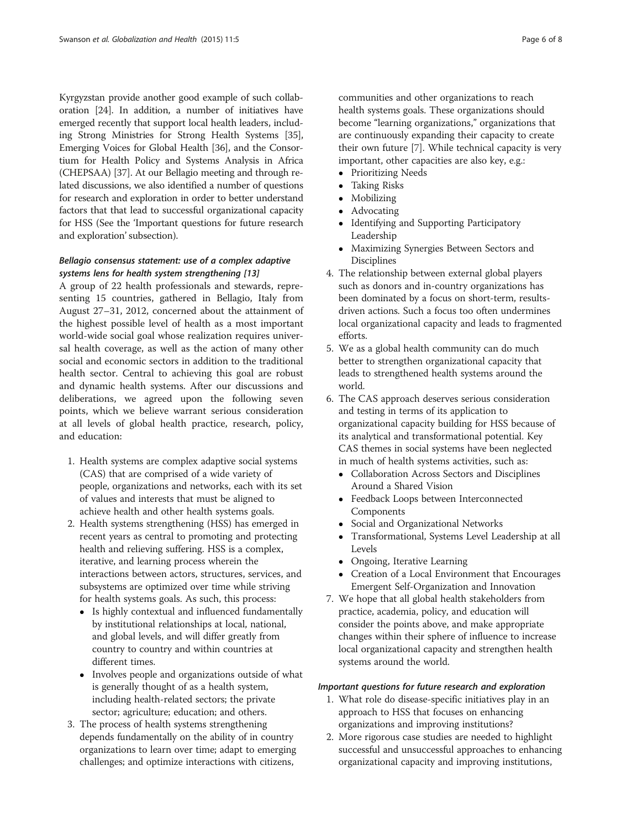Kyrgyzstan provide another good example of such collaboration [\[24\]](#page-7-0). In addition, a number of initiatives have emerged recently that support local health leaders, including Strong Ministries for Strong Health Systems [[35](#page-7-0)], Emerging Voices for Global Health [[36](#page-7-0)], and the Consortium for Health Policy and Systems Analysis in Africa (CHEPSAA) [\[37\]](#page-7-0). At our Bellagio meeting and through related discussions, we also identified a number of questions for research and exploration in order to better understand factors that that lead to successful organizational capacity for HSS (See the 'Important questions for future research and exploration' subsection).

# Bellagio consensus statement: use of a complex adaptive systems lens for health system strengthening [\[13\]](#page-7-0)

A group of 22 health professionals and stewards, representing 15 countries, gathered in Bellagio, Italy from August 27–31, 2012, concerned about the attainment of the highest possible level of health as a most important world-wide social goal whose realization requires universal health coverage, as well as the action of many other social and economic sectors in addition to the traditional health sector. Central to achieving this goal are robust and dynamic health systems. After our discussions and deliberations, we agreed upon the following seven points, which we believe warrant serious consideration at all levels of global health practice, research, policy, and education:

- 1. Health systems are complex adaptive social systems (CAS) that are comprised of a wide variety of people, organizations and networks, each with its set of values and interests that must be aligned to achieve health and other health systems goals.
- 2. Health systems strengthening (HSS) has emerged in recent years as central to promoting and protecting health and relieving suffering. HSS is a complex, iterative, and learning process wherein the interactions between actors, structures, services, and subsystems are optimized over time while striving for health systems goals. As such, this process:
	- Is highly contextual and influenced fundamentally by institutional relationships at local, national, and global levels, and will differ greatly from country to country and within countries at different times.
	- Involves people and organizations outside of what is generally thought of as a health system, including health-related sectors; the private sector; agriculture; education; and others.
- 3. The process of health systems strengthening depends fundamentally on the ability of in country organizations to learn over time; adapt to emerging challenges; and optimize interactions with citizens,

communities and other organizations to reach health systems goals. These organizations should become "learning organizations," organizations that are continuously expanding their capacity to create their own future [[7\]](#page-6-0). While technical capacity is very important, other capacities are also key, e.g.:

- Prioritizing Needs
- Taking Risks<br>• Mobilizing
- Mobilizing
- Advocating
- Identifying and Supporting Participatory Leadership
- Maximizing Synergies Between Sectors and Disciplines
- 4. The relationship between external global players such as donors and in-country organizations has been dominated by a focus on short-term, resultsdriven actions. Such a focus too often undermines local organizational capacity and leads to fragmented efforts.
- 5. We as a global health community can do much better to strengthen organizational capacity that leads to strengthened health systems around the world.
- 6. The CAS approach deserves serious consideration and testing in terms of its application to organizational capacity building for HSS because of its analytical and transformational potential. Key CAS themes in social systems have been neglected in much of health systems activities, such as:
	- Collaboration Across Sectors and Disciplines Around a Shared Vision
	- Feedback Loops between Interconnected Components
	- Social and Organizational Networks
	- Transformational, Systems Level Leadership at all Levels
	- Ongoing, Iterative Learning
	- Creation of a Local Environment that Encourages Emergent Self-Organization and Innovation
- 7. We hope that all global health stakeholders from practice, academia, policy, and education will consider the points above, and make appropriate changes within their sphere of influence to increase local organizational capacity and strengthen health systems around the world.

# Important questions for future research and exploration

- 1. What role do disease-specific initiatives play in an approach to HSS that focuses on enhancing organizations and improving institutions?
- 2. More rigorous case studies are needed to highlight successful and unsuccessful approaches to enhancing organizational capacity and improving institutions,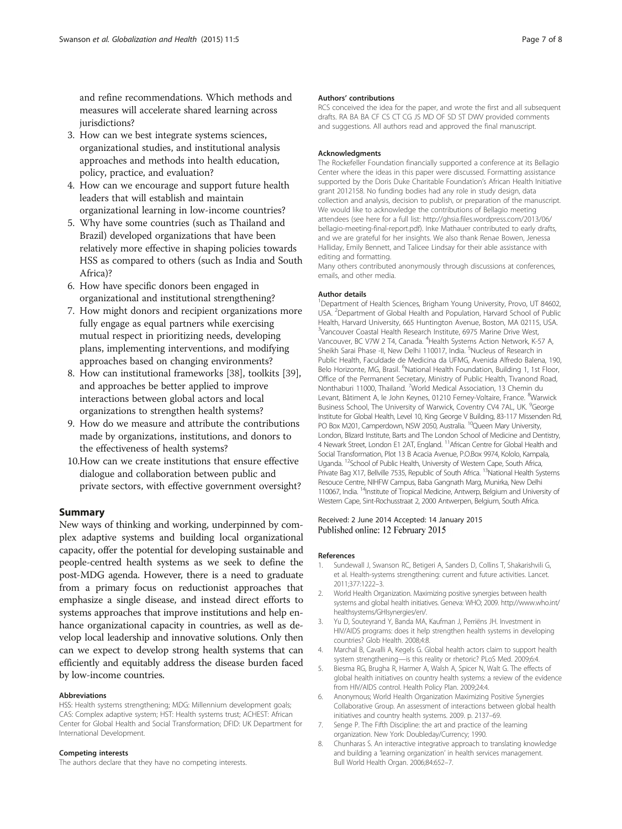<span id="page-6-0"></span>and refine recommendations. Which methods and measures will accelerate shared learning across jurisdictions?

- 3. How can we best integrate systems sciences, organizational studies, and institutional analysis approaches and methods into health education, policy, practice, and evaluation?
- 4. How can we encourage and support future health leaders that will establish and maintain organizational learning in low-income countries?
- 5. Why have some countries (such as Thailand and Brazil) developed organizations that have been relatively more effective in shaping policies towards HSS as compared to others (such as India and South Africa)?
- 6. How have specific donors been engaged in organizational and institutional strengthening?
- 7. How might donors and recipient organizations more fully engage as equal partners while exercising mutual respect in prioritizing needs, developing plans, implementing interventions, and modifying approaches based on changing environments?
- 8. How can institutional frameworks [[38](#page-7-0)], toolkits [[39](#page-7-0)], and approaches be better applied to improve interactions between global actors and local organizations to strengthen health systems?
- 9. How do we measure and attribute the contributions made by organizations, institutions, and donors to the effectiveness of health systems?
- 10.How can we create institutions that ensure effective dialogue and collaboration between public and private sectors, with effective government oversight?

# Summary

New ways of thinking and working, underpinned by complex adaptive systems and building local organizational capacity, offer the potential for developing sustainable and people-centred health systems as we seek to define the post-MDG agenda. However, there is a need to graduate from a primary focus on reductionist approaches that emphasize a single disease, and instead direct efforts to systems approaches that improve institutions and help enhance organizational capacity in countries, as well as develop local leadership and innovative solutions. Only then can we expect to develop strong health systems that can efficiently and equitably address the disease burden faced by low-income countries.

#### Abbreviations

HSS: Health systems strengthening; MDG: Millennium development goals; CAS: Complex adaptive system; HST: Health systems trust; ACHEST: African Center for Global Health and Social Transformation; DFID: UK Department for International Development.

#### Competing interests

The authors declare that they have no competing interests.

#### Authors' contributions

RCS conceived the idea for the paper, and wrote the first and all subsequent drafts. RA BA BA CF CS CT CG JS MD OF SD ST DWV provided comments and suggestions. All authors read and approved the final manuscript.

#### Acknowledgments

The Rockefeller Foundation financially supported a conference at its Bellagio Center where the ideas in this paper were discussed. Formatting assistance supported by the Doris Duke Charitable Foundation's African Health Initiative grant 2012158. No funding bodies had any role in study design, data collection and analysis, decision to publish, or preparation of the manuscript. We would like to acknowledge the contributions of Bellagio meeting attendees (see here for a full list: [http://ghsia.files.wordpress.com/2013/06/](http://ghsia.files.wordpress.com/2013/06/bellagio-meeting-final-report.pdf) [bellagio-meeting-final-report.pdf](http://ghsia.files.wordpress.com/2013/06/bellagio-meeting-final-report.pdf)). Inke Mathauer contributed to early drafts, and we are grateful for her insights. We also thank Renae Bowen, Jenessa Halliday, Emily Bennett, and Talicee Lindsay for their able assistance with editing and formatting.

Many others contributed anonymously through discussions at conferences, emails, and other media.

#### Author details

<sup>1</sup>Department of Health Sciences, Brigham Young University, Provo, UT 84602, USA. <sup>2</sup> Department of Global Health and Population, Harvard School of Public Health, Harvard University, 665 Huntington Avenue, Boston, MA 02115, USA. <sup>3</sup>Vancouver Coastal Health Research Institute, 6975 Marine Drive West, Vancouver, BC V7W 2 T4, Canada. <sup>4</sup> Health Systems Action Network, K-57 A Sheikh Sarai Phase -II, New Delhi 110017, India. <sup>5</sup>Nucleus of Research in Public Health, Faculdade de Medicina da UFMG, Avenida Alfredo Balena, 190, Belo Horizonte, MG, Brasil. <sup>6</sup>National Health Foundation, Building 1, 1st Floor Office of the Permanent Secretary, Ministry of Public Health, Tivanond Road, Nonthaburi 11000, Thailand. <sup>7</sup>World Medical Association, 13 Chemin du Levant, Bâtiment A, le John Keynes, 01210 Ferney-Voltaire, France. <sup>8</sup>Warwick Business School, The University of Warwick, Coventry CV4 7AL, UK. <sup>9</sup>George Institute for Global Health, Level 10, King George V Building, 83-117 Missenden Rd, PO Box M201, Camperdown, NSW 2050, Australia. <sup>10</sup>Queen Mary University, London, Blizard Institute, Barts and The London School of Medicine and Dentistry, 4 Newark Street, London E1 2AT, England. <sup>11</sup> African Centre for Global Health and Social Transformation, Plot 13 B Acacia Avenue, P.O.Box 9974, Kololo, Kampala, Uganda. <sup>12</sup>School of Public Health, University of Western Cape, South Africa, Private Bag X17, Bellville 7535, Republic of South Africa. 13National Health Systems Resouce Centre, NIHFW Campus, Baba Gangnath Marg, Munirka, New Delhi 110067, India. <sup>14</sup>Institute of Tropical Medicine, Antwerp, Belgium and University of Western Cape, Sint-Rochusstraat 2, 2000 Antwerpen, Belgium, South Africa.

# Received: 2 June 2014 Accepted: 14 January 2015 Published online: 12 February 2015

#### References

- 1. Sundewall J, Swanson RC, Betigeri A, Sanders D, Collins T, Shakarishvili G, et al. Health-systems strengthening: current and future activities. Lancet. 2011;377:1222–3.
- 2. World Health Organization. Maximizing positive synergies between health systems and global health initiatives. Geneva: WHO; 2009. [http://www.who.int/](http://www.who.int/healthsystems/GHIsynergies/en/) [healthsystems/GHIsynergies/en/.](http://www.who.int/healthsystems/GHIsynergies/en/)
- 3. Yu D, Souteyrand Y, Banda MA, Kaufman J, Perriëns JH. Investment in HIV/AIDS programs: does it help strengthen health systems in developing countries? Glob Health. 2008;4:8.
- 4. Marchal B, Cavalli A, Kegels G. Global health actors claim to support health system strengthening—is this reality or rhetoric? PLoS Med. 2009;6:4.
- Biesma RG, Brugha R, Harmer A, Walsh A, Spicer N, Walt G. The effects of global health initiatives on country health systems: a review of the evidence from HIV/AIDS control. Health Policy Plan. 2009;24:4.
- 6. Anonymous; World Health Organization Maximizing Positive Synergies Collaborative Group. An assessment of interactions between global health initiatives and country health systems. 2009. p. 2137–69.
- 7. Senge P. The Fifth Discipline: the art and practice of the learning organization. New York: Doubleday/Currency; 1990.
- 8. Chunharas S. An interactive integrative approach to translating knowledge and building a 'learning organization' in health services management. Bull World Health Organ. 2006;84:652–7.